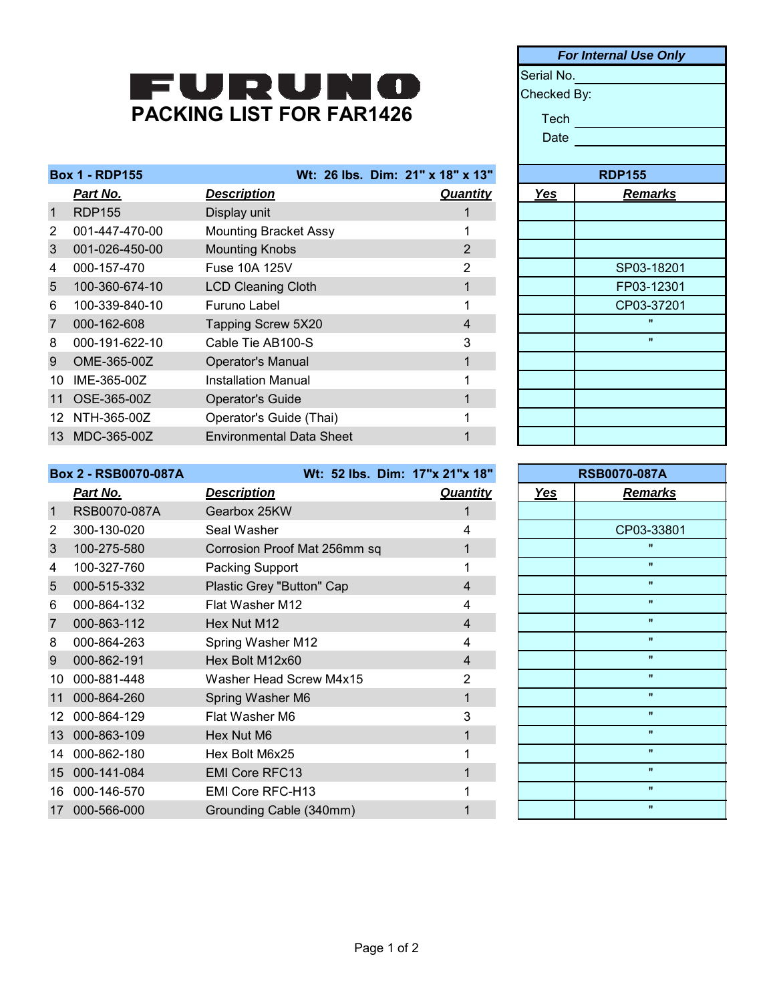## PACKING LIST FOR FAR1426

| <b>Box 1 - RDP155</b> |                |                                 | Wt: 26 lbs. Dim: 21" x 18" x 13" |            | <b>RDP155</b>  |
|-----------------------|----------------|---------------------------------|----------------------------------|------------|----------------|
|                       | Part No.       | <b>Description</b>              | <b>Quantity</b>                  | <b>Yes</b> | <b>Remarks</b> |
| $\mathbf{1}$          | <b>RDP155</b>  | Display unit                    |                                  |            |                |
| 2                     | 001-447-470-00 | <b>Mounting Bracket Assy</b>    |                                  |            |                |
| 3                     | 001-026-450-00 | <b>Mounting Knobs</b>           | $\overline{2}$                   |            |                |
| 4                     | 000-157-470    | Fuse 10A 125V                   | 2                                |            | SP03-18201     |
| 5                     | 100-360-674-10 | <b>LCD Cleaning Cloth</b>       |                                  |            | FP03-12301     |
| 6                     | 100-339-840-10 | Furuno Label                    |                                  |            | CP03-37201     |
| $\overline{7}$        | 000-162-608    | Tapping Screw 5X20              | 4                                |            | $\mathbf{u}$   |
| 8                     | 000-191-622-10 | Cable Tie AB100-S               | 3                                |            | $\mathbf{u}$   |
| 9                     | OME-365-00Z    | <b>Operator's Manual</b>        |                                  |            |                |
| 10                    | IME-365-00Z    | <b>Installation Manual</b>      |                                  |            |                |
| 11                    | OSE-365-00Z    | Operator's Guide                |                                  |            |                |
| 12                    | NTH-365-00Z    | Operator's Guide (Thai)         |                                  |            |                |
| 13                    | MDC-365-00Z    | <b>Environmental Data Sheet</b> |                                  |            |                |
|                       |                |                                 |                                  |            |                |

|             | <b>For Internal Use Only</b> |  |  |
|-------------|------------------------------|--|--|
|             | Serial No.                   |  |  |
| Checked By: |                              |  |  |
| Tech        |                              |  |  |
| Date        |                              |  |  |
|             |                              |  |  |
|             | <b>RDP155</b>                |  |  |
| Yes         | <b>Remarks</b>               |  |  |
|             |                              |  |  |
|             |                              |  |  |
|             |                              |  |  |
|             | SP03-18201                   |  |  |
|             | FP03-12301                   |  |  |
|             | CP03-37201                   |  |  |
|             | $\mathbf{u}$                 |  |  |
|             | $\blacksquare$               |  |  |
|             |                              |  |  |
|             |                              |  |  |
|             |                              |  |  |
|             |                              |  |  |
|             |                              |  |  |

| <b>Box 2 - RSB0070-087A</b> |              | Wt: 52 lbs. Dim: 17"x 21"x 18" |                 | <b>RSB0070-087A</b> |                    |
|-----------------------------|--------------|--------------------------------|-----------------|---------------------|--------------------|
|                             | Part No.     | <b>Description</b>             | <b>Quantity</b> | Yes                 | <b>Remarks</b>     |
| $\mathbf 1$                 | RSB0070-087A | Gearbox 25KW                   |                 |                     |                    |
| 2                           | 300-130-020  | Seal Washer                    | 4               |                     | CP03-33801         |
| 3                           | 100-275-580  | Corrosion Proof Mat 256mm sq   |                 |                     | $\mathbf{u}$       |
| 4                           | 100-327-760  | Packing Support                |                 |                     | $\mathbf{u}$       |
| 5                           | 000-515-332  | Plastic Grey "Button" Cap      | $\overline{4}$  |                     | $\mathbf{u}$       |
| 6                           | 000-864-132  | Flat Washer M12                | 4               |                     | $\mathbf{u}$       |
| 7                           | 000-863-112  | Hex Nut M12                    | $\overline{4}$  |                     | $\mathbf{u}$       |
| 8                           | 000-864-263  | Spring Washer M12              | 4               |                     | $\mathbf{u}$       |
| 9                           | 000-862-191  | Hex Bolt M12x60                | $\overline{4}$  |                     | $\mathbf{H}$       |
| 10                          | 000-881-448  | Washer Head Screw M4x15        | $\overline{2}$  |                     | $\pmb{\mathsf{H}}$ |
| 11                          | 000-864-260  | Spring Washer M6               |                 |                     | $\pmb{\mathsf{H}}$ |
| 12.                         | 000-864-129  | Flat Washer M6                 | 3               |                     | $\mathbf{u}$       |
| 13                          | 000-863-109  | Hex Nut M6                     |                 |                     | $\mathbf{H}$       |
| 14                          | 000-862-180  | Hex Bolt M6x25                 |                 |                     | $\mathbf{H}$       |
| 15 <sup>15</sup>            | 000-141-084  | <b>EMI Core RFC13</b>          |                 |                     | $\pmb{\mathsf{H}}$ |
| 16                          | 000-146-570  | EMI Core RFC-H13               |                 |                     | $\mathbf{u}$       |
| 17                          | 000-566-000  | Grounding Cable (340mm)        |                 |                     | $\mathbf{H}$       |

| <b>RSB0070-087A</b> |                |  |
|---------------------|----------------|--|
| Yes                 | <b>Remarks</b> |  |
|                     |                |  |
|                     | CP03-33801     |  |
|                     | Ħ              |  |
|                     | $\blacksquare$ |  |
|                     | π              |  |
|                     | $\mathbf{u}$   |  |
|                     | $\blacksquare$ |  |
|                     | $\blacksquare$ |  |
|                     | $\mathbf{u}$   |  |
|                     | $\blacksquare$ |  |
|                     | $\blacksquare$ |  |
|                     | $\blacksquare$ |  |
|                     | $\blacksquare$ |  |
|                     | $\mathbf{u}$   |  |
|                     | $\blacksquare$ |  |
|                     | Ħ              |  |
|                     | $\blacksquare$ |  |